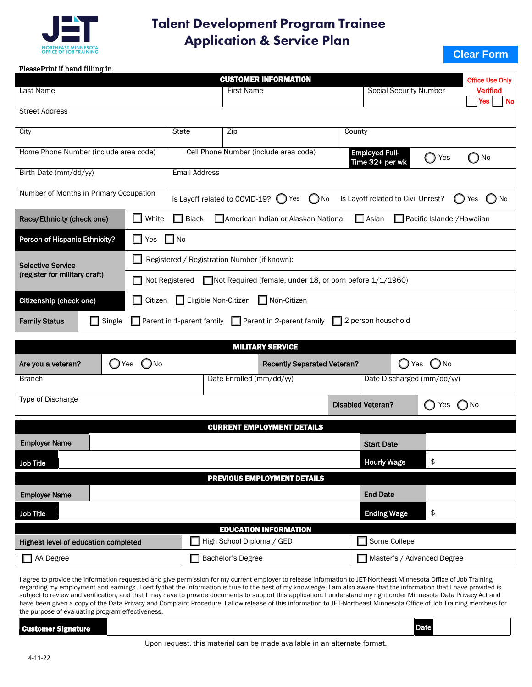

## Talent Development Program Trainee Application & Service Plan

## **Clear Form**

## Please Print if hand filling in.

| <b>CUSTOMER INFORMATION</b>                                                                                                                    |                                                                            |                                                                                                                   |                               |                                     |  |  |  |
|------------------------------------------------------------------------------------------------------------------------------------------------|----------------------------------------------------------------------------|-------------------------------------------------------------------------------------------------------------------|-------------------------------|-------------------------------------|--|--|--|
| Last Name                                                                                                                                      |                                                                            | <b>First Name</b>                                                                                                 | <b>Social Security Number</b> | <b>Verified</b><br><b>No</b><br>Yes |  |  |  |
| <b>Street Address</b>                                                                                                                          |                                                                            |                                                                                                                   |                               |                                     |  |  |  |
| City                                                                                                                                           |                                                                            | <b>State</b>                                                                                                      | Zip                           | County                              |  |  |  |
| Home Phone Number (include area code)                                                                                                          |                                                                            | Cell Phone Number (include area code)<br><b>Employed Full-</b><br>Yes<br>Time 32+ per wk                          |                               | No                                  |  |  |  |
| Birth Date (mm/dd/yy)                                                                                                                          |                                                                            | <b>Email Address</b>                                                                                              |                               |                                     |  |  |  |
| Number of Months in Primary Occupation                                                                                                         |                                                                            | Is Layoff related to COVID-19? $\bigcirc$ Yes<br>Is Layoff related to Civil Unrest?<br>( ) No<br>( )<br>No<br>Yes |                               |                                     |  |  |  |
| White<br>Pacific Islander/Hawaiian<br><b>Black</b><br>American Indian or Alaskan National<br>Race/Ethnicity (check one)<br><b>□ Asian</b><br>H |                                                                            |                                                                                                                   |                               |                                     |  |  |  |
| Person of Hispanic Ethnicity?<br>$\Box$ No<br>. .<br>Yes                                                                                       |                                                                            |                                                                                                                   |                               |                                     |  |  |  |
| <b>Selective Service</b>                                                                                                                       | Registered / Registration Number (if known):                               |                                                                                                                   |                               |                                     |  |  |  |
| (register for military draft)                                                                                                                  | Not Required (female, under 18, or born before 1/1/1960)<br>Not Registered |                                                                                                                   |                               |                                     |  |  |  |
| $\Box$ Eligible Non-Citizen<br>$\Box$ Non-Citizen<br>Citizenship (check one)<br>$\Box$ Citizen                                                 |                                                                            |                                                                                                                   |                               |                                     |  |  |  |
| $\Box$ 2 person household<br>Single<br>$\Box$ Parent in 1-parent family $\Box$ Parent in 2-parent family<br><b>Family Status</b>               |                                                                            |                                                                                                                   |                               |                                     |  |  |  |
|                                                                                                                                                |                                                                            |                                                                                                                   |                               |                                     |  |  |  |
|                                                                                                                                                |                                                                            |                                                                                                                   | <b>MILITARY SERVICE</b>       |                                     |  |  |  |
| $\rightarrow$                                                                                                                                  | ∽                                                                          |                                                                                                                   |                               | $\sim$<br>$\sim$                    |  |  |  |

| MILITANI SENVICE                     |                |                           |                                    |  |                              |  |                            |
|--------------------------------------|----------------|---------------------------|------------------------------------|--|------------------------------|--|----------------------------|
| Are you a veteran?                   | $O$ Yes $O$ No |                           | <b>Recently Separated Veteran?</b> |  | $\bigcirc$ Yes $\bigcirc$ No |  |                            |
| <b>Branch</b>                        |                | Date Enrolled (mm/dd/yy)  |                                    |  |                              |  | Date Discharged (mm/dd/yy) |
| <b>Type of Discharge</b>             |                |                           |                                    |  | <b>Disabled Veteran?</b>     |  | $\bigcirc$ No<br>Yes       |
| <b>CURRENT EMPLOYMENT DETAILS</b>    |                |                           |                                    |  |                              |  |                            |
| <b>Employer Name</b>                 |                |                           |                                    |  | <b>Start Date</b>            |  |                            |
| Job Title                            |                |                           |                                    |  | <b>Hourly Wage</b>           |  | \$                         |
| PREVIOUS EMPLOYMENT DETAILS          |                |                           |                                    |  |                              |  |                            |
| <b>Employer Name</b>                 |                |                           |                                    |  | <b>End Date</b>              |  |                            |
| Job Title                            |                |                           |                                    |  | <b>Ending Wage</b>           |  | \$                         |
| <b>EDUCATION INFORMATION</b>         |                |                           |                                    |  |                              |  |                            |
| Highest level of education completed |                | High School Diploma / GED |                                    |  | Some College                 |  |                            |
| AA Degree                            |                | Bachelor's Degree         |                                    |  |                              |  | Master's / Advanced Degree |

I agree to provide the information requested and give permission for my current employer to release information to JET-Northeast Minnesota Office of Job Training regarding my employment and earnings. I certify that the information is true to the best of my knowledge. I am also aware that the information that I have provided is subject to review and verification, and that I may have to provide documents to support this application. I understand my right under Minnesota Data Privacy Act and have been given a copy of the Data Privacy and Complaint Procedure. I allow release of this information to JET-Northeast Minnesota Office of Job Training members for the purpose of evaluating program effectiveness.

|  | 20 T S |
|--|--------|
|  |        |